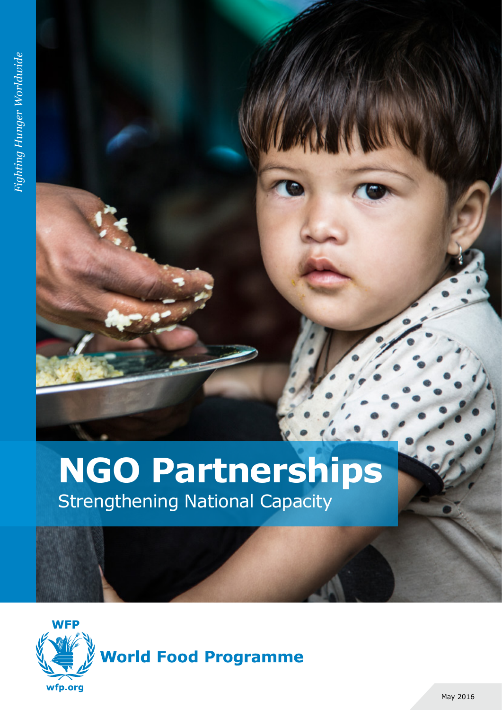# **NGO Partnerships** Strengthening National Capacity

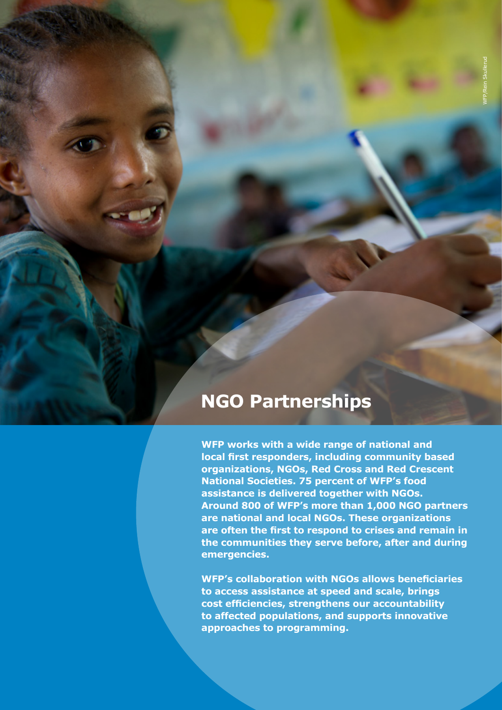# **NGO Partnerships**

**WFP works with a wide range of national and local first responders, including community based organizations, NGOs, Red Cross and Red Crescent National Societies. 75 percent of WFP's food assistance is delivered together with NGOs. Around 800 of WFP's more than 1,000 NGO partners are national and local NGOs. These organizations are often the first to respond to crises and remain in the communities they serve before, after and during emergencies.** 

**WFP's collaboration with NGOs allows beneficiaries to access assistance at speed and scale, brings cost efficiencies, strengthens our accountability to affected populations, and supports innovative approaches to programming.**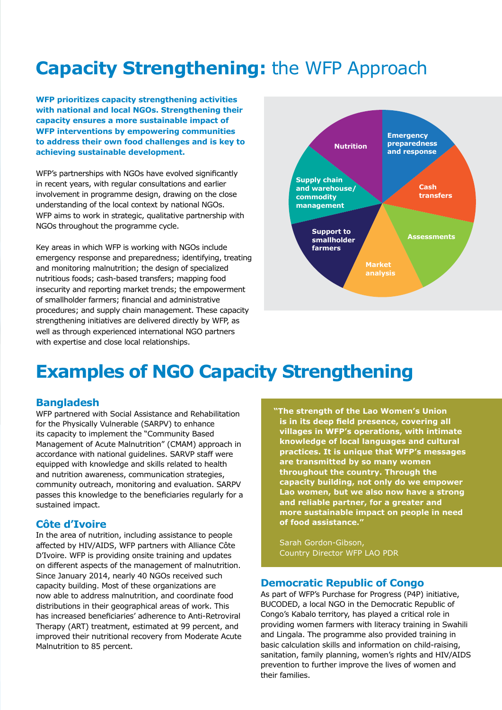# **Capacity Strengthening:** the WFP Approach

**WFP prioritizes capacity strengthening activities with national and local NGOs. Strengthening their capacity ensures a more sustainable impact of WFP interventions by empowering communities to address their own food challenges and is key to achieving sustainable development.**

WFP's partnerships with NGOs have evolved significantly in recent years, with regular consultations and earlier involvement in programme design, drawing on the close understanding of the local context by national NGOs. WFP aims to work in strategic, qualitative partnership with NGOs throughout the programme cycle.

Key areas in which WFP is working with NGOs include emergency response and preparedness; identifying, treating and monitoring malnutrition; the design of specialized nutritious foods; cash-based transfers; mapping food insecurity and reporting market trends; the empowerment of smallholder farmers; financial and administrative procedures; and supply chain management. These capacity strengthening initiatives are delivered directly by WFP, as well as through experienced international NGO partners with expertise and close local relationships.



# **Examples of NGO Capacity Strengthening**

#### **Bangladesh**

WFP partnered with Social Assistance and Rehabilitation for the Physically Vulnerable (SARPV) to enhance its capacity to implement the "Community Based Management of Acute Malnutrition" (CMAM) approach in accordance with national guidelines. SARVP staff were equipped with knowledge and skills related to health and nutrition awareness, communication strategies, community outreach, monitoring and evaluation. SARPV passes this knowledge to the beneficiaries regularly for a sustained impact.

#### **Côte d'Ivoire**

In the area of nutrition, including assistance to people affected by HIV/AIDS, WFP partners with Alliance Côte D'Ivoire. WFP is providing onsite training and updates on different aspects of the management of malnutrition. Since January 2014, nearly 40 NGOs received such capacity building. Most of these organizations are now able to address malnutrition, and coordinate food distributions in their geographical areas of work. This has increased beneficiaries' adherence to Anti-Retroviral Therapy (ART) treatment, estimated at 99 percent, and improved their nutritional recovery from Moderate Acute Malnutrition to 85 percent.

**"The strength of the Lao Women's Union is in its deep field presence, covering all villages in WFP's operations, with intimate knowledge of local languages and cultural practices. It is unique that WFP's messages are transmitted by so many women throughout the country. Through the capacity building, not only do we empower Lao women, but we also now have a strong and reliable partner, for a greater and more sustainable impact on people in need of food assistance."** 

Sarah Gordon-Gibson, Country Director WFP LAO PDR

#### **Democratic Republic of Congo**

As part of WFP's Purchase for Progress (P4P) initiative, BUCODED, a local NGO in the Democratic Republic of Congo's Kabalo territory, has played a critical role in providing women farmers with literacy training in Swahili and Lingala. The programme also provided training in basic calculation skills and information on child-raising, sanitation, family planning, women's rights and HIV/AIDS prevention to further improve the lives of women and their families.